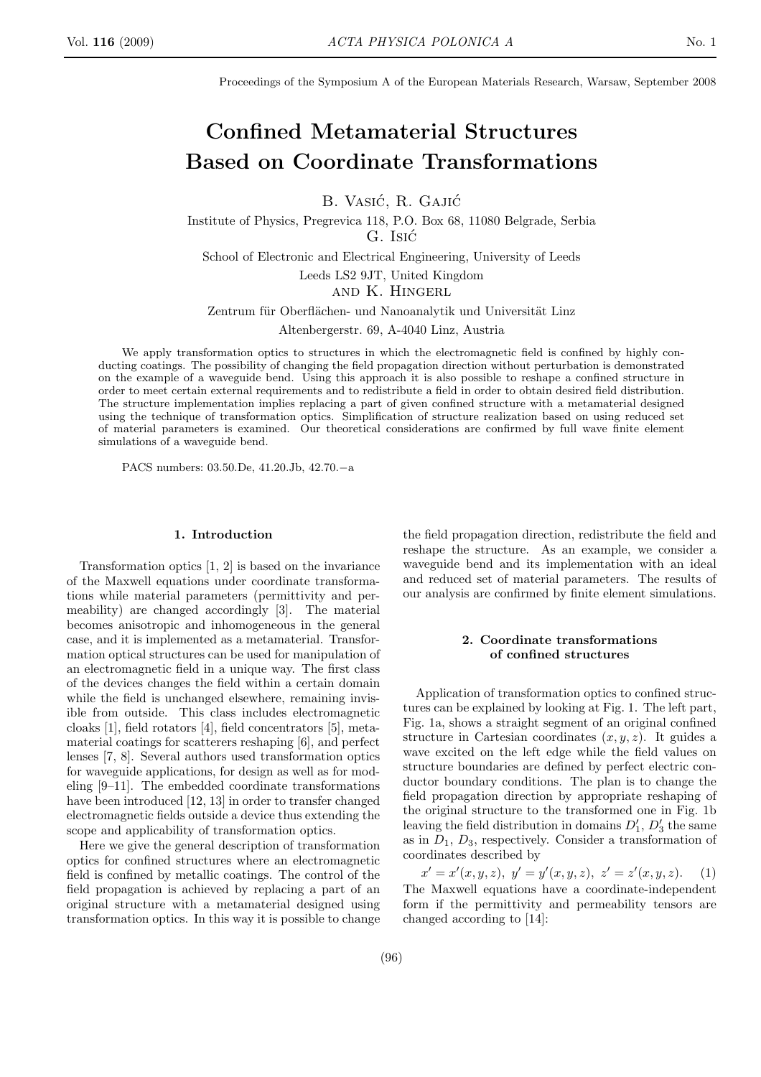Proceedings of the Symposium A of the European Materials Research, Warsaw, September 2008

# Confined Metamaterial Structures Based on Coordinate Transformations

B. Vasić, R. Gajić

Institute of Physics, Pregrevica 118, P.O. Box 68, 11080 Belgrade, Serbia G. Isic´

School of Electronic and Electrical Engineering, University of Leeds

Leeds LS2 9JT, United Kingdom

and K. Hingerl

Zentrum für Oberflächen- und Nanoanalytik und Universität Linz

Altenbergerstr. 69, A-4040 Linz, Austria

We apply transformation optics to structures in which the electromagnetic field is confined by highly conducting coatings. The possibility of changing the field propagation direction without perturbation is demonstrated on the example of a waveguide bend. Using this approach it is also possible to reshape a confined structure in order to meet certain external requirements and to redistribute a field in order to obtain desired field distribution. The structure implementation implies replacing a part of given confined structure with a metamaterial designed using the technique of transformation optics. Simplification of structure realization based on using reduced set of material parameters is examined. Our theoretical considerations are confirmed by full wave finite element simulations of a waveguide bend.

PACS numbers: 03.50.De, 41.20.Jb, 42.70.−a

### 1. Introduction

Transformation optics [1, 2] is based on the invariance of the Maxwell equations under coordinate transformations while material parameters (permittivity and permeability) are changed accordingly [3]. The material becomes anisotropic and inhomogeneous in the general case, and it is implemented as a metamaterial. Transformation optical structures can be used for manipulation of an electromagnetic field in a unique way. The first class of the devices changes the field within a certain domain while the field is unchanged elsewhere, remaining invisible from outside. This class includes electromagnetic cloaks [1], field rotators [4], field concentrators [5], metamaterial coatings for scatterers reshaping [6], and perfect lenses [7, 8]. Several authors used transformation optics for waveguide applications, for design as well as for modeling [9–11]. The embedded coordinate transformations have been introduced [12, 13] in order to transfer changed electromagnetic fields outside a device thus extending the scope and applicability of transformation optics.

Here we give the general description of transformation optics for confined structures where an electromagnetic field is confined by metallic coatings. The control of the field propagation is achieved by replacing a part of an original structure with a metamaterial designed using transformation optics. In this way it is possible to change

the field propagation direction, redistribute the field and reshape the structure. As an example, we consider a waveguide bend and its implementation with an ideal and reduced set of material parameters. The results of our analysis are confirmed by finite element simulations.

## 2. Coordinate transformations of confined structures

Application of transformation optics to confined structures can be explained by looking at Fig. 1. The left part, Fig. 1a, shows a straight segment of an original confined structure in Cartesian coordinates  $(x, y, z)$ . It guides a wave excited on the left edge while the field values on structure boundaries are defined by perfect electric conductor boundary conditions. The plan is to change the field propagation direction by appropriate reshaping of the original structure to the transformed one in Fig. 1b leaving the field distribution in domains  $D'_1$ ,  $D'_3$  the same as in  $D_1$ ,  $D_3$ , respectively. Consider a transformation of coordinates described by

 $x' = x'(x, y, z), y' = y'(x, y, z), z' = z'(x, y, z).$  (1) The Maxwell equations have a coordinate-independent form if the permittivity and permeability tensors are changed according to [14]: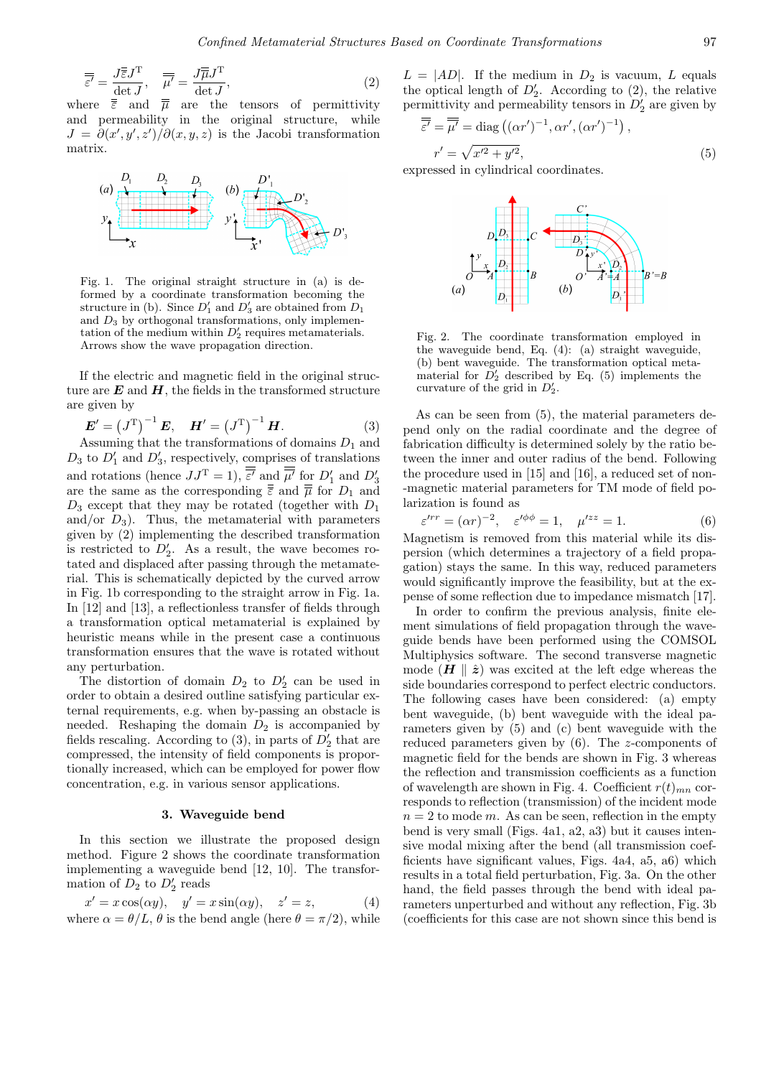$$
\overline{\overline{\overline{\varepsilon'}}} = \frac{J\overline{\overline{\varepsilon}}J^{\mathrm{T}}}{\det J}, \quad \overline{\overline{\mu'}} = \frac{J\overline{\overline{\mu}}J^{\mathrm{T}}}{\det J},\tag{2}
$$

where  $\overline{\overline{\epsilon}}$  and  $\overline{\overline{\mu}}$  are the tensors of permittivity and permeability in the original structure, while  $J = \frac{\partial(x', y', z')}{\partial(x, y, z)}$  is the Jacobi transformation matrix.



Fig. 1. The original straight structure in (a) is deformed by a coordinate transformation becoming the structure in (b). Since  $D'_1$  and  $D'_3$  are obtained from  $D_1$ and  $D_3$  by orthogonal transformations, only implementation of the medium within  $D'_2$  requires metamaterials. Arrows show the wave propagation direction.

If the electric and magnetic field in the original structure are  $E$  and  $H$ , the fields in the transformed structure are given by

$$
E' = (J^{T})^{-1} E, \quad H' = (J^{T})^{-1} H.
$$
 (3)

Assuming that the transformations of domains  $D_1$  and  $D_3$  to  $D'_1$  and  $D'_3$ , respectively, comprises of translations and rotations (hence  $JJ^T = 1$ ),  $\overline{\varepsilon'}$  and  $\overline{\mu'}$  for  $D'_1$  and  $D'_3$ are the same as the corresponding  $\bar{\bar{\varepsilon}}$  and  $\bar{\bar{\mu}}$  for  $D_1$  and  $D_3$  except that they may be rotated (together with  $D_1$ ) and/or  $D_3$ ). Thus, the metamaterial with parameters given by (2) implementing the described transformation is restricted to  $D'_2$ . As a result, the wave becomes rotated and displaced after passing through the metamaterial. This is schematically depicted by the curved arrow in Fig. 1b corresponding to the straight arrow in Fig. 1a. In [12] and [13], a reflectionless transfer of fields through a transformation optical metamaterial is explained by heuristic means while in the present case a continuous transformation ensures that the wave is rotated without any perturbation.

The distortion of domain  $D_2$  to  $D'_2$  can be used in order to obtain a desired outline satisfying particular external requirements, e.g. when by-passing an obstacle is needed. Reshaping the domain  $D_2$  is accompanied by fields rescaling. According to (3), in parts of  $D'_2$  that are compressed, the intensity of field components is proportionally increased, which can be employed for power flow concentration, e.g. in various sensor applications.

#### 3. Waveguide bend

In this section we illustrate the proposed design method. Figure 2 shows the coordinate transformation implementing a waveguide bend [12, 10]. The transformation of  $D_2$  to  $D'_2$  reads

$$
x' = x \cos(\alpha y), \quad y' = x \sin(\alpha y), \quad z' = z,
$$
\n(4)

\nwhere  $\alpha = \theta/L$ ,  $\theta$  is the bend angle (here  $\theta = \pi/2$ ), while

 $L = |AD|$ . If the medium in  $D_2$  is vacuum, L equals the optical length of  $D'_2$ . According to (2), the relative permittivity and permeability tensors in  $\overline{D'_2}$  are given by

$$
\overline{\overline{\overline{\varepsilon'}}} = \overline{\overline{\mu'}} = \text{diag}\left( (\alpha r')^{-1}, \alpha r', (\alpha r')^{-1} \right),
$$
  

$$
r' = \sqrt{x'^2 + y'^2},
$$
 (5)

expressed in cylindrical coordinates.



Fig. 2. The coordinate transformation employed in the waveguide bend, Eq. (4): (a) straight waveguide, (b) bent waveguide. The transformation optical metamaterial for  $\overline{D'_2}$  described by Eq. (5) implements the curvature of the grid in  $D'_2$ .

As can be seen from (5), the material parameters depend only on the radial coordinate and the degree of fabrication difficulty is determined solely by the ratio between the inner and outer radius of the bend. Following the procedure used in [15] and [16], a reduced set of non- -magnetic material parameters for TM mode of field polarization is found as

$$
\varepsilon'^{rr} = (\alpha r)^{-2}, \quad \varepsilon'^{\phi\phi} = 1, \quad \mu'^{zz} = 1. \tag{6}
$$

Magnetism is removed from this material while its dispersion (which determines a trajectory of a field propagation) stays the same. In this way, reduced parameters would significantly improve the feasibility, but at the expense of some reflection due to impedance mismatch [17].

In order to confirm the previous analysis, finite element simulations of field propagation through the waveguide bends have been performed using the COMSOL Multiphysics software. The second transverse magnetic mode  $(H \rvert \rvert \rvert \rvert \rvert z)$  was excited at the left edge whereas the side boundaries correspond to perfect electric conductors. The following cases have been considered: (a) empty bent waveguide, (b) bent waveguide with the ideal parameters given by (5) and (c) bent waveguide with the reduced parameters given by (6). The z-components of magnetic field for the bends are shown in Fig. 3 whereas the reflection and transmission coefficients as a function of wavelength are shown in Fig. 4. Coefficient  $r(t)_{mn}$  corresponds to reflection (transmission) of the incident mode  $n = 2$  to mode m. As can be seen, reflection in the empty bend is very small (Figs. 4a1, a2, a3) but it causes intensive modal mixing after the bend (all transmission coefficients have significant values, Figs. 4a4, a5, a6) which results in a total field perturbation, Fig. 3a. On the other hand, the field passes through the bend with ideal parameters unperturbed and without any reflection, Fig. 3b (coefficients for this case are not shown since this bend is